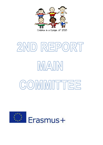

# 2ND REPORT IMATIN COMMITTEE

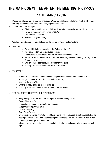# **THE MAIN COMMITTEE AFTER THE MEETING IN CYPRUS 11 TH MARCH 2016**

- Manual with different ways of teaching languages: We will develop the manual after the meeting in Hungary including the information collected in Denmark, Cyprus and Hungary.
- SKYPE: Next dates and topics:
	- What do you expect in Hungary? 30th March. Only for children who are travelling to Hungary.
	- $\triangleright$  Talking to my partners from Hungary. 13th April.
	- $\triangleright$  The Olympics. (18th May).
	- $\triangleright$  Summer holidays (1st June).

We should collect videos and pictures to upload them to our twinspace and our website.

- WEBSITE:
- $\triangleright$  We should include the promotion of the Project with the leaflet.
- $\triangleright$  Assesment section. Uploading questionnaires.
- Commissions: Hungarian and Dannish. Aplication form created by Finland.
- $\triangleright$  Report: We will upload the final reports (main Committee) after every meeting. Sending it to the Commission's members.
- $\triangleright$  Children's page: reports about the accuracy on twinspace.
- $\triangleright$  Meetings: We will follow the same patron as Denmark.
- TWINSPACE:
	- $\triangleright$  Including in it the different materials created during the Project, the fairy tales, the materials for technologies to preserve the environment, and the dictionary.
	- $\triangleright$  Uploading the activity "It's me".
	- $\triangleright$  Chatting about the same topics used for Skype.
	- $\triangleright$  Uploading pictures and videos to show children's chats on Skype.
- TECHNOLOGIES TO PRESERVE THE ENVIRONMENT:
	- $\triangleright$  Every country has chosen one of the two topics to develop it during this year. *Cyprus: Metal recycling. Finland: Environmental and climatological phenomenon Hungary: Cleaning drinking water. Denmark: Recycling Spain: Recycling center.*
	- $\triangleright$  Every country will collect information about the topic and it will be uploaded to our twinspace before the meeting in Hungary. It should be a power point presentation about the topic. Children will work in teams in Hungary to make, projects, murals, etc.
	- $\triangleright$  Afterwards we will create a final power presentation with pictures and videos with the children's work there.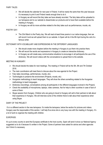#### FAIRY TALES:

- $\triangleright$  We will decide the calendar for next year in Finland. It will be nearly the same than this year because it's necessary to print it and Finland needs enough time to do it.
- $\triangleright$  In Hungary we will record the fairy tales we have already recorded. The fairy tales will be uploaded to our twinspace and to our website to disseminate our products and to have them available before the meeting in Hungary.
- $\triangleright$  In Hungary we will do more activities related to the fairy tales such as performances, murals, etc.

# POETRY DAY:

 $\triangleright$  The 23rd March is the Poetry day. We will read at least three poems in our native language, then we will record it and we will upload them to our website. In Spain will do it the 8th April during the visit of a famous writer.

# DICTIONARY WITH VOCABULARY AND EXPRESSIONS IN THE DIFFERENT LANGUAGES:

- $\triangleright$  We should create more chapters before the meeting in Hungary to put them into practice there.
- $\triangleright$  We will record the words and expressions in Hungary to create an interactive dictionary.
- $\triangleright$  In Hungary we will create easy communicative situations to encourage in all participants the use of the dictionary. We will record videos with the conversations to upload them to the website.

# MEETING IN HUNGARY:

- $\triangleright$  We should decide the dates for next meetings. The meeting in Finland will be the 5th, 6th and 7th October 2016.
- $\triangleright$  The main coordinators will meet there to discuss about the new agenda for the Project.
- $\triangleright$  Fairy tales (recordings, performances, murals, etc).
- $\triangleright$  Technologies to preserve the environment (Projects, murals, etc)
- $\triangleright$  Hungarian methodology to teach languages. They will show the others something related to the Hungarian methodology to teach languages.
- $\triangleright$  Dictionary (recordings, conversations among all participants in the different languages involved in the Project).
- $\triangleright$  Check the availability of microphones, laptops, video cameras. Ask for help to other countries in case of lack of some of them.
- $\triangleright$  Skype session from Hungary. Children who are going to travel to Hungary will call to their partners to talk about their experience in Hungary. We will interview some of the children there to talk about their experience when using Skype.

#### DIARY OF THE PROJECT:

It's in a different section in the new twinspace. It's inside the twinspace, below the section for pictures and videos. Hungary was the responsable of this section. I will help Eva since she is very busy now with the meeting in Hungary. It's a lot of work to organize the meeting with children.

#### EUROPASS:

It's up to every country to send the Europass certificate to the host country. Spain will send it since our National Agency suggested us to do it because it's written in the Project. Some of partners have asked for advice and other agencies don't think it's necessary.